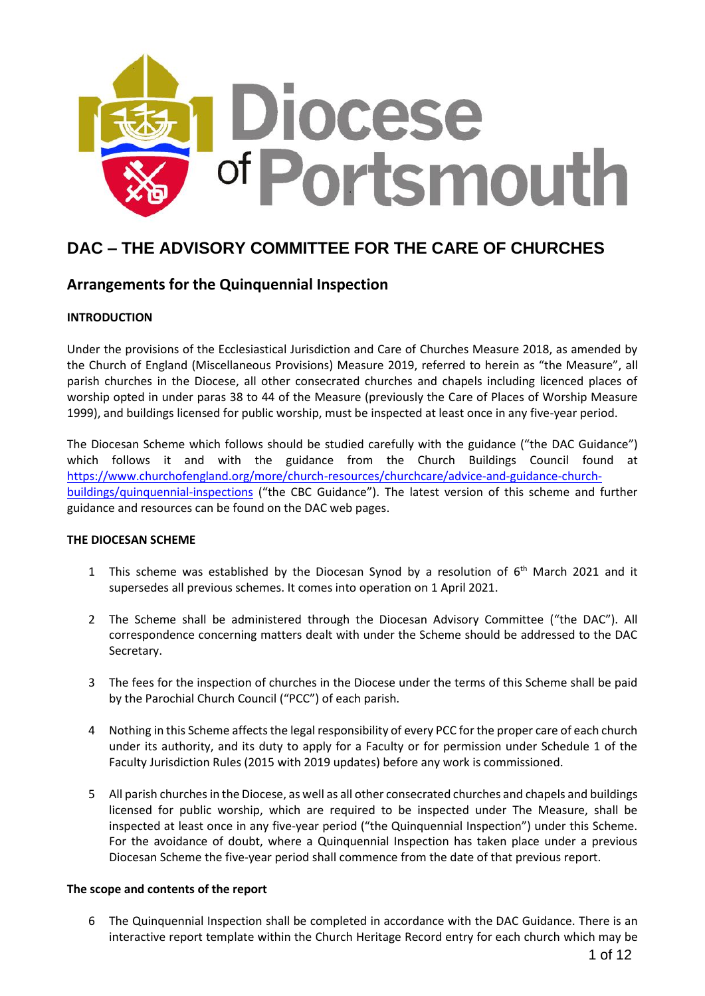

# **DAC – THE ADVISORY COMMITTEE FOR THE CARE OF CHURCHES**

# **Arrangements for the Quinquennial Inspection**

### **INTRODUCTION**

Under the provisions of the Ecclesiastical Jurisdiction and Care of Churches Measure 2018, as amended by the Church of England (Miscellaneous Provisions) Measure 2019, referred to herein as "the Measure", all parish churches in the Diocese, all other consecrated churches and chapels including licenced places of worship opted in under paras 38 to 44 of the Measure (previously the Care of Places of Worship Measure 1999), and buildings licensed for public worship, must be inspected at least once in any five-year period.

The Diocesan Scheme which follows should be studied carefully with the guidance ("the DAC Guidance") which follows it and with the guidance from the Church Buildings Council found at [https://www.churchofengland.org/more/church-resources/churchcare/advice-and-guidance-church](https://www.churchofengland.org/more/church-resources/churchcare/advice-and-guidance-church-buildings/quinquennial-inspections)[buildings/quinquennial-inspections](https://www.churchofengland.org/more/church-resources/churchcare/advice-and-guidance-church-buildings/quinquennial-inspections) ("the CBC Guidance"). The latest version of this scheme and further guidance and resources can be found on the DAC web pages.

### **THE DIOCESAN SCHEME**

- 1 This scheme was established by the Diocesan Synod by a resolution of  $6<sup>th</sup>$  March 2021 and it supersedes all previous schemes. It comes into operation on 1 April 2021.
- 2 The Scheme shall be administered through the Diocesan Advisory Committee ("the DAC"). All correspondence concerning matters dealt with under the Scheme should be addressed to the DAC Secretary.
- 3 The fees for the inspection of churches in the Diocese under the terms of this Scheme shall be paid by the Parochial Church Council ("PCC") of each parish.
- 4 Nothing in this Scheme affects the legal responsibility of every PCC for the proper care of each church under its authority, and its duty to apply for a Faculty or for permission under Schedule 1 of the Faculty Jurisdiction Rules (2015 with 2019 updates) before any work is commissioned.
- 5 All parish churches in the Diocese, as well as all other consecrated churches and chapels and buildings licensed for public worship, which are required to be inspected under The Measure, shall be inspected at least once in any five-year period ("the Quinquennial Inspection") under this Scheme. For the avoidance of doubt, where a Quinquennial Inspection has taken place under a previous Diocesan Scheme the five-year period shall commence from the date of that previous report.

### **The scope and contents of the report**

6 The Quinquennial Inspection shall be completed in accordance with the DAC Guidance. There is an interactive report template within the Church Heritage Record entry for each church which may be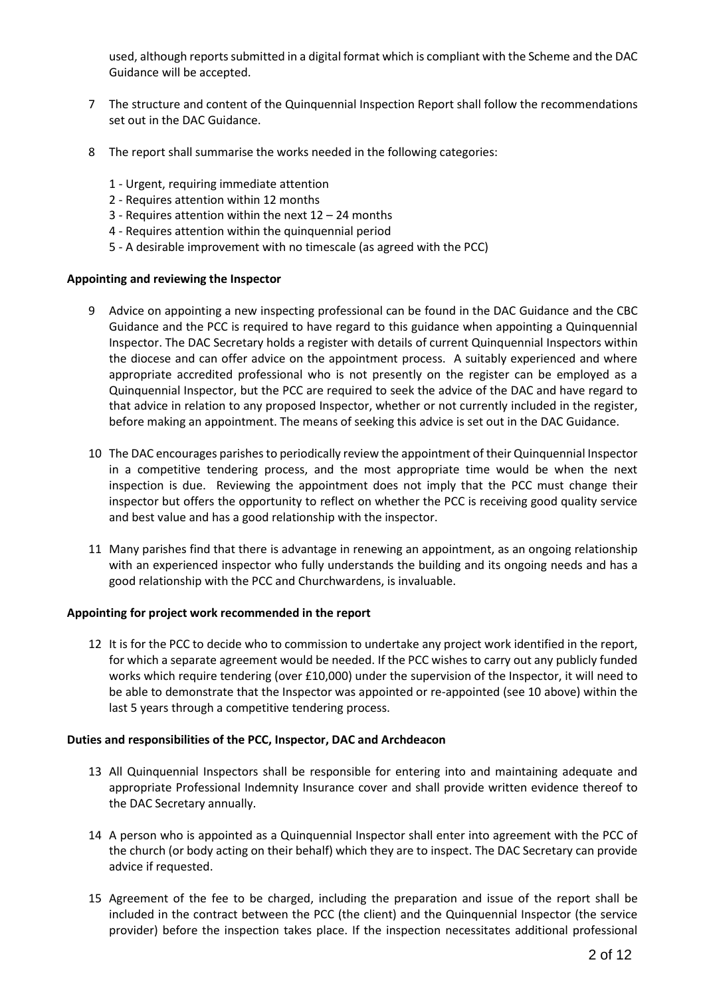used, although reports submitted in a digital format which is compliant with the Scheme and the DAC Guidance will be accepted.

- 7 The structure and content of the Quinquennial Inspection Report shall follow the recommendations set out in the DAC Guidance.
- 8 The report shall summarise the works needed in the following categories:
	- 1 Urgent, requiring immediate attention
	- 2 Requires attention within 12 months
	- 3 Requires attention within the next 12 24 months
	- 4 Requires attention within the quinquennial period
	- 5 A desirable improvement with no timescale (as agreed with the PCC)

### **Appointing and reviewing the Inspector**

- 9 Advice on appointing a new inspecting professional can be found in the DAC Guidance and the CBC Guidance and the PCC is required to have regard to this guidance when appointing a Quinquennial Inspector. The DAC Secretary holds a register with details of current Quinquennial Inspectors within the diocese and can offer advice on the appointment process. A suitably experienced and where appropriate accredited professional who is not presently on the register can be employed as a Quinquennial Inspector, but the PCC are required to seek the advice of the DAC and have regard to that advice in relation to any proposed Inspector, whether or not currently included in the register, before making an appointment. The means of seeking this advice is set out in the DAC Guidance.
- 10 The DAC encourages parishes to periodically review the appointment of their Quinquennial Inspector in a competitive tendering process, and the most appropriate time would be when the next inspection is due. Reviewing the appointment does not imply that the PCC must change their inspector but offers the opportunity to reflect on whether the PCC is receiving good quality service and best value and has a good relationship with the inspector.
- 11 Many parishes find that there is advantage in renewing an appointment, as an ongoing relationship with an experienced inspector who fully understands the building and its ongoing needs and has a good relationship with the PCC and Churchwardens, is invaluable.

### **Appointing for project work recommended in the report**

12 It is for the PCC to decide who to commission to undertake any project work identified in the report, for which a separate agreement would be needed. If the PCC wishes to carry out any publicly funded works which require tendering (over £10,000) under the supervision of the Inspector, it will need to be able to demonstrate that the Inspector was appointed or re-appointed (see 10 above) within the last 5 years through a competitive tendering process.

### **Duties and responsibilities of the PCC, Inspector, DAC and Archdeacon**

- 13 All Quinquennial Inspectors shall be responsible for entering into and maintaining adequate and appropriate Professional Indemnity Insurance cover and shall provide written evidence thereof to the DAC Secretary annually.
- 14 A person who is appointed as a Quinquennial Inspector shall enter into agreement with the PCC of the church (or body acting on their behalf) which they are to inspect. The DAC Secretary can provide advice if requested.
- 15 Agreement of the fee to be charged, including the preparation and issue of the report shall be included in the contract between the PCC (the client) and the Quinquennial Inspector (the service provider) before the inspection takes place. If the inspection necessitates additional professional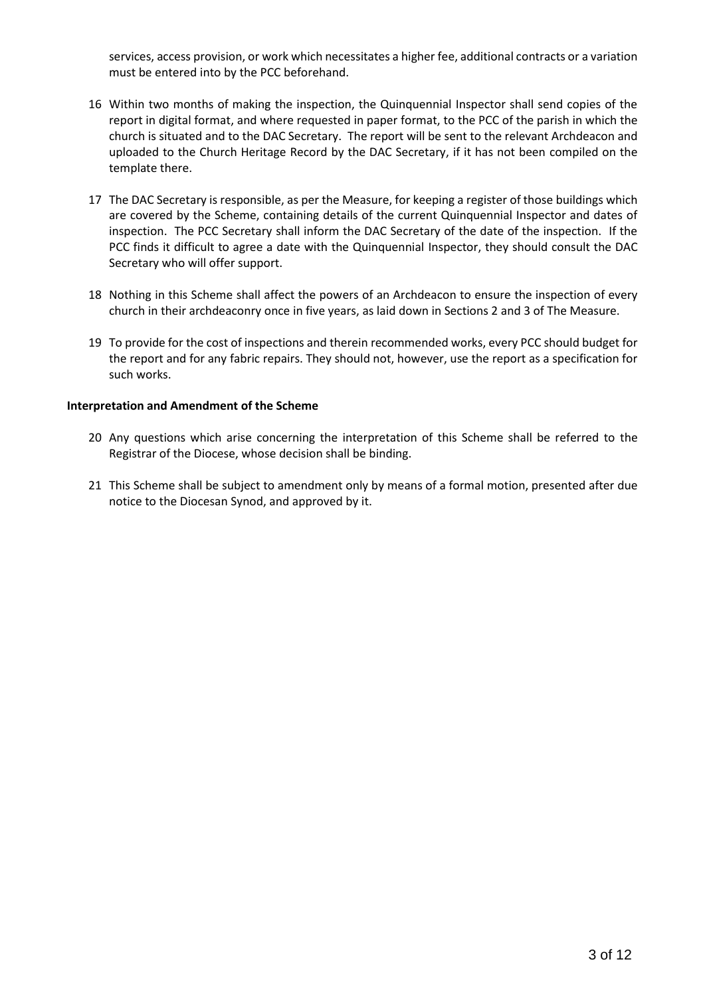services, access provision, or work which necessitates a higher fee, additional contracts or a variation must be entered into by the PCC beforehand.

- 16 Within two months of making the inspection, the Quinquennial Inspector shall send copies of the report in digital format, and where requested in paper format, to the PCC of the parish in which the church is situated and to the DAC Secretary. The report will be sent to the relevant Archdeacon and uploaded to the Church Heritage Record by the DAC Secretary, if it has not been compiled on the template there.
- 17 The DAC Secretary is responsible, as per the Measure, for keeping a register of those buildings which are covered by the Scheme, containing details of the current Quinquennial Inspector and dates of inspection. The PCC Secretary shall inform the DAC Secretary of the date of the inspection. If the PCC finds it difficult to agree a date with the Quinquennial Inspector, they should consult the DAC Secretary who will offer support.
- 18 Nothing in this Scheme shall affect the powers of an Archdeacon to ensure the inspection of every church in their archdeaconry once in five years, as laid down in Sections 2 and 3 of The Measure.
- 19 To provide for the cost of inspections and therein recommended works, every PCC should budget for the report and for any fabric repairs. They should not, however, use the report as a specification for such works.

### **Interpretation and Amendment of the Scheme**

- 20 Any questions which arise concerning the interpretation of this Scheme shall be referred to the Registrar of the Diocese, whose decision shall be binding.
- 21 This Scheme shall be subject to amendment only by means of a formal motion, presented after due notice to the Diocesan Synod, and approved by it.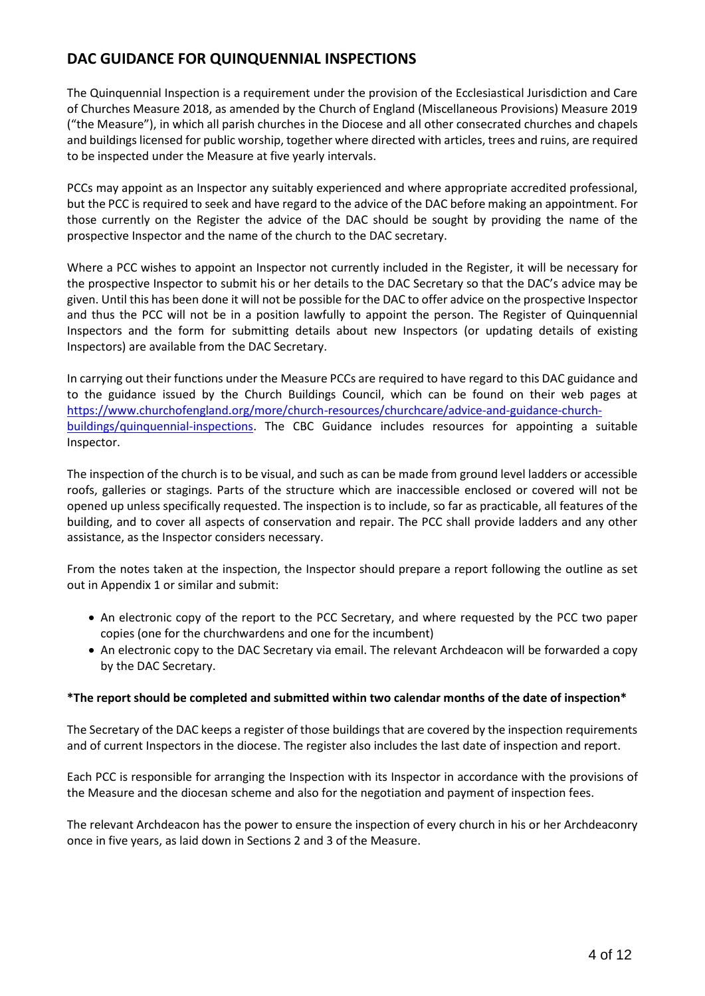# **DAC GUIDANCE FOR QUINQUENNIAL INSPECTIONS**

The Quinquennial Inspection is a requirement under the provision of the Ecclesiastical Jurisdiction and Care of Churches Measure 2018, as amended by the Church of England (Miscellaneous Provisions) Measure 2019 ("the Measure"), in which all parish churches in the Diocese and all other consecrated churches and chapels and buildings licensed for public worship, together where directed with articles, trees and ruins, are required to be inspected under the Measure at five yearly intervals.

PCCs may appoint as an Inspector any suitably experienced and where appropriate accredited professional, but the PCC is required to seek and have regard to the advice of the DAC before making an appointment. For those currently on the Register the advice of the DAC should be sought by providing the name of the prospective Inspector and the name of the church to the DAC secretary.

Where a PCC wishes to appoint an Inspector not currently included in the Register, it will be necessary for the prospective Inspector to submit his or her details to the DAC Secretary so that the DAC's advice may be given. Until this has been done it will not be possible for the DAC to offer advice on the prospective Inspector and thus the PCC will not be in a position lawfully to appoint the person. The Register of Quinquennial Inspectors and the form for submitting details about new Inspectors (or updating details of existing Inspectors) are available from the DAC Secretary.

In carrying out their functions under the Measure PCCs are required to have regard to this DAC guidance and to the guidance issued by the Church Buildings Council, which can be found on their web pages at [https://www.churchofengland.org/more/church-resources/churchcare/advice-and-guidance-church](https://www.churchofengland.org/more/church-resources/churchcare/advice-and-guidance-church-buildings/quinquennial-inspections)[buildings/quinquennial-inspections.](https://www.churchofengland.org/more/church-resources/churchcare/advice-and-guidance-church-buildings/quinquennial-inspections) The CBC Guidance includes resources for appointing a suitable Inspector.

The inspection of the church is to be visual, and such as can be made from ground level ladders or accessible roofs, galleries or stagings. Parts of the structure which are inaccessible enclosed or covered will not be opened up unless specifically requested. The inspection is to include, so far as practicable, all features of the building, and to cover all aspects of conservation and repair. The PCC shall provide ladders and any other assistance, as the Inspector considers necessary.

From the notes taken at the inspection, the Inspector should prepare a report following the outline as set out in Appendix 1 or similar and submit:

- An electronic copy of the report to the PCC Secretary, and where requested by the PCC two paper copies (one for the churchwardens and one for the incumbent)
- An electronic copy to the DAC Secretary via email. The relevant Archdeacon will be forwarded a copy by the DAC Secretary.

### **\*The report should be completed and submitted within two calendar months of the date of inspection\***

The Secretary of the DAC keeps a register of those buildings that are covered by the inspection requirements and of current Inspectors in the diocese. The register also includes the last date of inspection and report.

Each PCC is responsible for arranging the Inspection with its Inspector in accordance with the provisions of the Measure and the diocesan scheme and also for the negotiation and payment of inspection fees.

The relevant Archdeacon has the power to ensure the inspection of every church in his or her Archdeaconry once in five years, as laid down in Sections 2 and 3 of the Measure.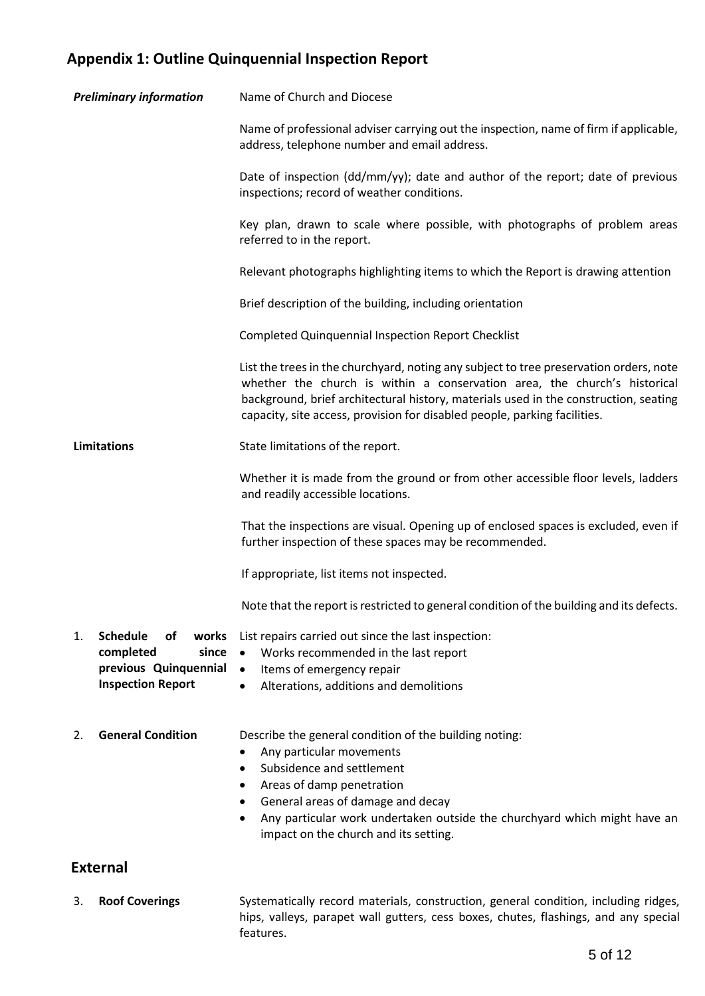# **Appendix 1: Outline Quinquennial Inspection Report**

| <b>Preliminary information</b>                                                                                  | Name of Church and Diocese                                                                                                                                                                                                                                                                                                               |  |
|-----------------------------------------------------------------------------------------------------------------|------------------------------------------------------------------------------------------------------------------------------------------------------------------------------------------------------------------------------------------------------------------------------------------------------------------------------------------|--|
|                                                                                                                 | Name of professional adviser carrying out the inspection, name of firm if applicable,<br>address, telephone number and email address.                                                                                                                                                                                                    |  |
|                                                                                                                 | Date of inspection (dd/mm/yy); date and author of the report; date of previous<br>inspections; record of weather conditions.                                                                                                                                                                                                             |  |
|                                                                                                                 | Key plan, drawn to scale where possible, with photographs of problem areas<br>referred to in the report.                                                                                                                                                                                                                                 |  |
|                                                                                                                 | Relevant photographs highlighting items to which the Report is drawing attention                                                                                                                                                                                                                                                         |  |
|                                                                                                                 | Brief description of the building, including orientation                                                                                                                                                                                                                                                                                 |  |
|                                                                                                                 | <b>Completed Quinquennial Inspection Report Checklist</b>                                                                                                                                                                                                                                                                                |  |
|                                                                                                                 | List the trees in the churchyard, noting any subject to tree preservation orders, note<br>whether the church is within a conservation area, the church's historical<br>background, brief architectural history, materials used in the construction, seating<br>capacity, site access, provision for disabled people, parking facilities. |  |
| <b>Limitations</b>                                                                                              | State limitations of the report.                                                                                                                                                                                                                                                                                                         |  |
|                                                                                                                 | Whether it is made from the ground or from other accessible floor levels, ladders<br>and readily accessible locations.                                                                                                                                                                                                                   |  |
|                                                                                                                 | That the inspections are visual. Opening up of enclosed spaces is excluded, even if<br>further inspection of these spaces may be recommended.                                                                                                                                                                                            |  |
|                                                                                                                 | If appropriate, list items not inspected.                                                                                                                                                                                                                                                                                                |  |
|                                                                                                                 | Note that the report is restricted to general condition of the building and its defects.                                                                                                                                                                                                                                                 |  |
| <b>Schedule</b><br>works<br>1.<br>оf<br>completed<br>since<br>previous Quinquennial<br><b>Inspection Report</b> | List repairs carried out since the last inspection:<br>Works recommended in the last report<br>$\bullet$<br>$\bullet$<br>Items of emergency repair<br>Alterations, additions and demolitions<br>$\bullet$                                                                                                                                |  |
| <b>General Condition</b><br>2.                                                                                  | Describe the general condition of the building noting:<br>Any particular movements<br>Subsidence and settlement<br>$\bullet$<br>Areas of damp penetration<br>٠<br>General areas of damage and decay<br>٠<br>Any particular work undertaken outside the churchyard which might have an<br>impact on the church and its setting.           |  |
| <b>External</b>                                                                                                 |                                                                                                                                                                                                                                                                                                                                          |  |

3. **Roof Coverings** Systematically record materials, construction, general condition, including ridges, hips, valleys, parapet wall gutters, cess boxes, chutes, flashings, and any special features.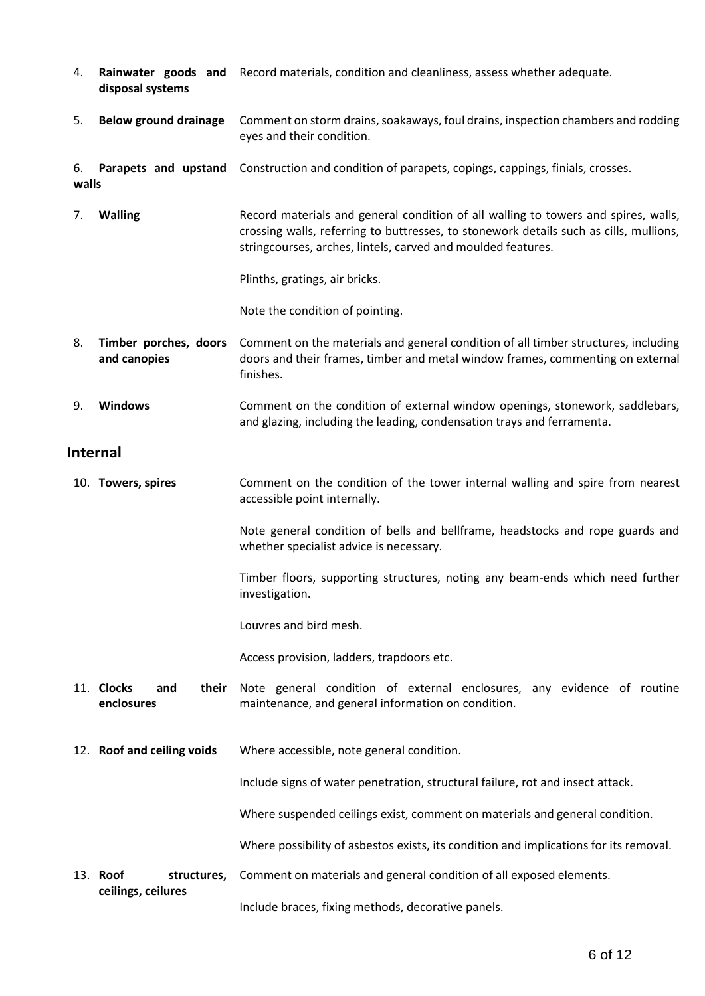- 4. **Rainwater goods and**  Record materials, condition and cleanliness, assess whether adequate. **disposal systems**
- 5. **Below ground drainage** Comment on storm drains, soakaways, foul drains, inspection chambers and rodding eyes and their condition.

6. **Parapets and upstand**  Construction and condition of parapets, copings, cappings, finials, crosses.

7. **Walling** Record materials and general condition of all walling to towers and spires, walls, crossing walls, referring to buttresses, to stonework details such as cills, mullions, stringcourses, arches, lintels, carved and moulded features.

Plinths, gratings, air bricks.

Note the condition of pointing.

- 8. **Timber porches, doors and canopies** Comment on the materials and general condition of all timber structures, including doors and their frames, timber and metal window frames, commenting on external finishes.
- 9. **Windows** Comment on the condition of external window openings, stonework, saddlebars, and glazing, including the leading, condensation trays and ferramenta.

## **Internal**

**walls**

10. **Towers, spires** Comment on the condition of the tower internal walling and spire from nearest accessible point internally.

> Note general condition of bells and bellframe, headstocks and rope guards and whether specialist advice is necessary.

> Timber floors, supporting structures, noting any beam-ends which need further investigation.

Louvres and bird mesh.

Access provision, ladders, trapdoors etc.

- 11. **Clocks** and **enclosures** their Note general condition of external enclosures, any evidence of routine maintenance, and general information on condition.
- 12. **Roof and ceiling voids** Where accessible, note general condition.

Include signs of water penetration, structural failure, rot and insect attack.

Where suspended ceilings exist, comment on materials and general condition.

Where possibility of asbestos exists, its condition and implications for its removal.

13. **Roof structures, ceilings, ceilures** Comment on materials and general condition of all exposed elements.

Include braces, fixing methods, decorative panels.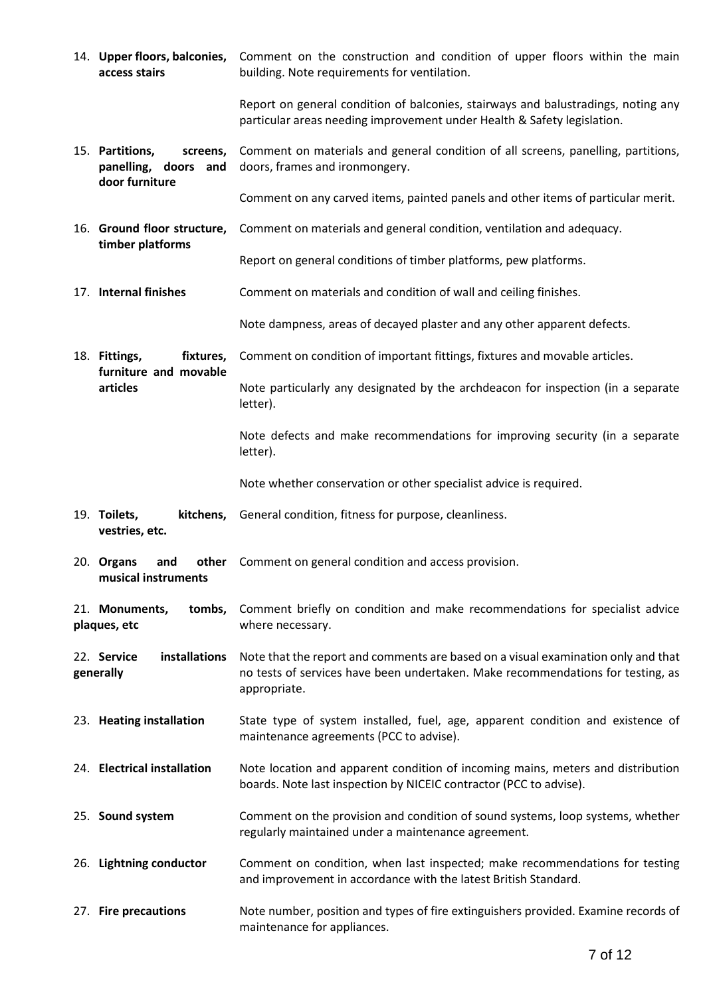|                                                                       | access stairs                                                   | 14. Upper floors, balconies, Comment on the construction and condition of upper floors within the main<br>building. Note requirements for ventilation.                               |  |
|-----------------------------------------------------------------------|-----------------------------------------------------------------|--------------------------------------------------------------------------------------------------------------------------------------------------------------------------------------|--|
|                                                                       |                                                                 | Report on general condition of balconies, stairways and balustradings, noting any<br>particular areas needing improvement under Health & Safety legislation.                         |  |
| 15. Partitions,<br>screens,<br>panelling, doors and<br>door furniture |                                                                 | Comment on materials and general condition of all screens, panelling, partitions,<br>doors, frames and ironmongery.                                                                  |  |
|                                                                       |                                                                 | Comment on any carved items, painted panels and other items of particular merit.                                                                                                     |  |
|                                                                       | 16. Ground floor structure,                                     | Comment on materials and general condition, ventilation and adequacy.                                                                                                                |  |
|                                                                       | timber platforms                                                | Report on general conditions of timber platforms, pew platforms.                                                                                                                     |  |
|                                                                       | 17. Internal finishes                                           | Comment on materials and condition of wall and ceiling finishes.                                                                                                                     |  |
|                                                                       |                                                                 | Note dampness, areas of decayed plaster and any other apparent defects.                                                                                                              |  |
|                                                                       | fixtures,<br>18. Fittings,<br>furniture and movable<br>articles | Comment on condition of important fittings, fixtures and movable articles.                                                                                                           |  |
|                                                                       |                                                                 | Note particularly any designated by the archdeacon for inspection (in a separate<br>letter).                                                                                         |  |
|                                                                       |                                                                 | Note defects and make recommendations for improving security (in a separate<br>letter).                                                                                              |  |
|                                                                       |                                                                 | Note whether conservation or other specialist advice is required.                                                                                                                    |  |
|                                                                       | 19. Toilets,<br>kitchens,<br>vestries, etc.                     | General condition, fitness for purpose, cleanliness.                                                                                                                                 |  |
|                                                                       | 20. Organs<br>and<br>musical instruments                        | other Comment on general condition and access provision.                                                                                                                             |  |
|                                                                       | 21. Monuments,<br>tombs,<br>plaques, etc                        | Comment briefly on condition and make recommendations for specialist advice<br>where necessary.                                                                                      |  |
| 22. Service<br>installations<br>generally                             |                                                                 | Note that the report and comments are based on a visual examination only and that<br>no tests of services have been undertaken. Make recommendations for testing, as<br>appropriate. |  |
|                                                                       | 23. Heating installation                                        | State type of system installed, fuel, age, apparent condition and existence of<br>maintenance agreements (PCC to advise).                                                            |  |
|                                                                       | 24. Electrical installation                                     | Note location and apparent condition of incoming mains, meters and distribution<br>boards. Note last inspection by NICEIC contractor (PCC to advise).                                |  |
| 25. Sound system                                                      |                                                                 | Comment on the provision and condition of sound systems, loop systems, whether<br>regularly maintained under a maintenance agreement.                                                |  |
|                                                                       | 26. Lightning conductor                                         | Comment on condition, when last inspected; make recommendations for testing<br>and improvement in accordance with the latest British Standard.                                       |  |
| 27. Fire precautions                                                  |                                                                 | Note number, position and types of fire extinguishers provided. Examine records of<br>maintenance for appliances.                                                                    |  |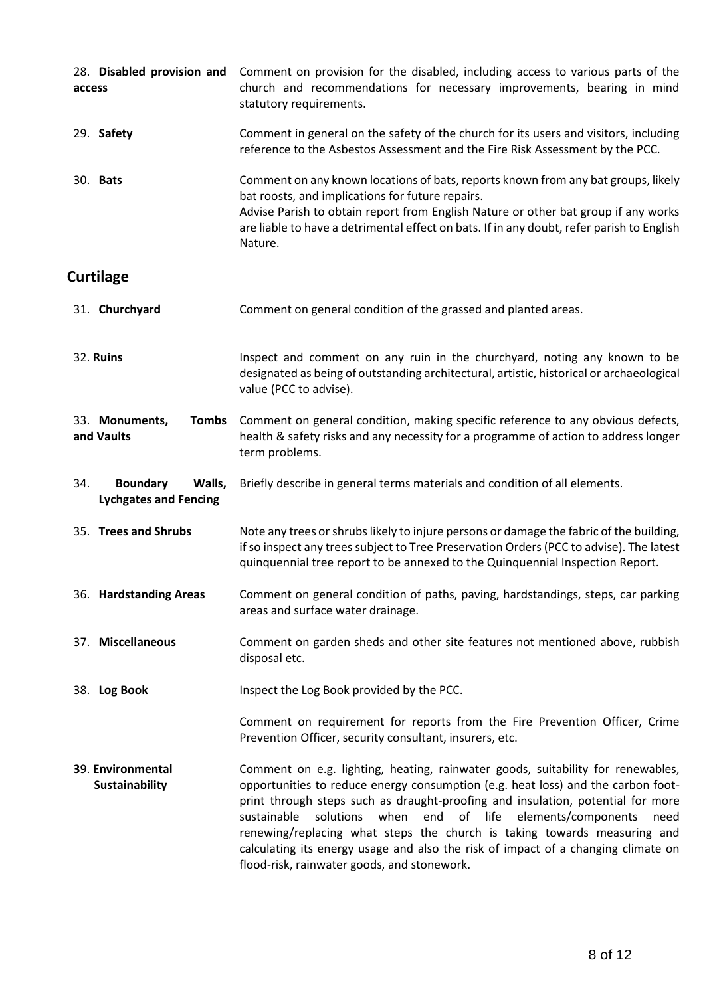| 28. Disabled provision and<br>access                             | Comment on provision for the disabled, including access to various parts of the<br>church and recommendations for necessary improvements, bearing in mind<br>statutory requirements.                                                                                                                                                                                                                                                                                                                                                                        |  |  |  |
|------------------------------------------------------------------|-------------------------------------------------------------------------------------------------------------------------------------------------------------------------------------------------------------------------------------------------------------------------------------------------------------------------------------------------------------------------------------------------------------------------------------------------------------------------------------------------------------------------------------------------------------|--|--|--|
| 29. Safety                                                       | Comment in general on the safety of the church for its users and visitors, including<br>reference to the Asbestos Assessment and the Fire Risk Assessment by the PCC.                                                                                                                                                                                                                                                                                                                                                                                       |  |  |  |
| 30. <b>Bats</b>                                                  | Comment on any known locations of bats, reports known from any bat groups, likely<br>bat roosts, and implications for future repairs.<br>Advise Parish to obtain report from English Nature or other bat group if any works<br>are liable to have a detrimental effect on bats. If in any doubt, refer parish to English<br>Nature.                                                                                                                                                                                                                         |  |  |  |
| <b>Curtilage</b>                                                 |                                                                                                                                                                                                                                                                                                                                                                                                                                                                                                                                                             |  |  |  |
| 31. Churchyard                                                   | Comment on general condition of the grassed and planted areas.                                                                                                                                                                                                                                                                                                                                                                                                                                                                                              |  |  |  |
| 32. Ruins                                                        | Inspect and comment on any ruin in the churchyard, noting any known to be<br>designated as being of outstanding architectural, artistic, historical or archaeological<br>value (PCC to advise).                                                                                                                                                                                                                                                                                                                                                             |  |  |  |
| 33. Monuments,<br><b>Tombs</b><br>and Vaults                     | Comment on general condition, making specific reference to any obvious defects,<br>health & safety risks and any necessity for a programme of action to address longer<br>term problems.                                                                                                                                                                                                                                                                                                                                                                    |  |  |  |
| Walls,<br>34.<br><b>Boundary</b><br><b>Lychgates and Fencing</b> | Briefly describe in general terms materials and condition of all elements.                                                                                                                                                                                                                                                                                                                                                                                                                                                                                  |  |  |  |
| 35. Trees and Shrubs                                             | Note any trees or shrubs likely to injure persons or damage the fabric of the building,<br>if so inspect any trees subject to Tree Preservation Orders (PCC to advise). The latest<br>quinquennial tree report to be annexed to the Quinquennial Inspection Report.                                                                                                                                                                                                                                                                                         |  |  |  |
| 36. Hardstanding Areas                                           | Comment on general condition of paths, paving, hardstandings, steps, car parking<br>areas and surface water drainage.                                                                                                                                                                                                                                                                                                                                                                                                                                       |  |  |  |
| 37. Miscellaneous                                                | Comment on garden sheds and other site features not mentioned above, rubbish<br>disposal etc.                                                                                                                                                                                                                                                                                                                                                                                                                                                               |  |  |  |
| 38. Log Book                                                     | Inspect the Log Book provided by the PCC.                                                                                                                                                                                                                                                                                                                                                                                                                                                                                                                   |  |  |  |
|                                                                  | Comment on requirement for reports from the Fire Prevention Officer, Crime<br>Prevention Officer, security consultant, insurers, etc.                                                                                                                                                                                                                                                                                                                                                                                                                       |  |  |  |
| 39. Environmental<br>Sustainability                              | Comment on e.g. lighting, heating, rainwater goods, suitability for renewables,<br>opportunities to reduce energy consumption (e.g. heat loss) and the carbon foot-<br>print through steps such as draught-proofing and insulation, potential for more<br>solutions<br>sustainable<br>when<br>end<br>of life<br>elements/components<br>need<br>renewing/replacing what steps the church is taking towards measuring and<br>calculating its energy usage and also the risk of impact of a changing climate on<br>flood-risk, rainwater goods, and stonework. |  |  |  |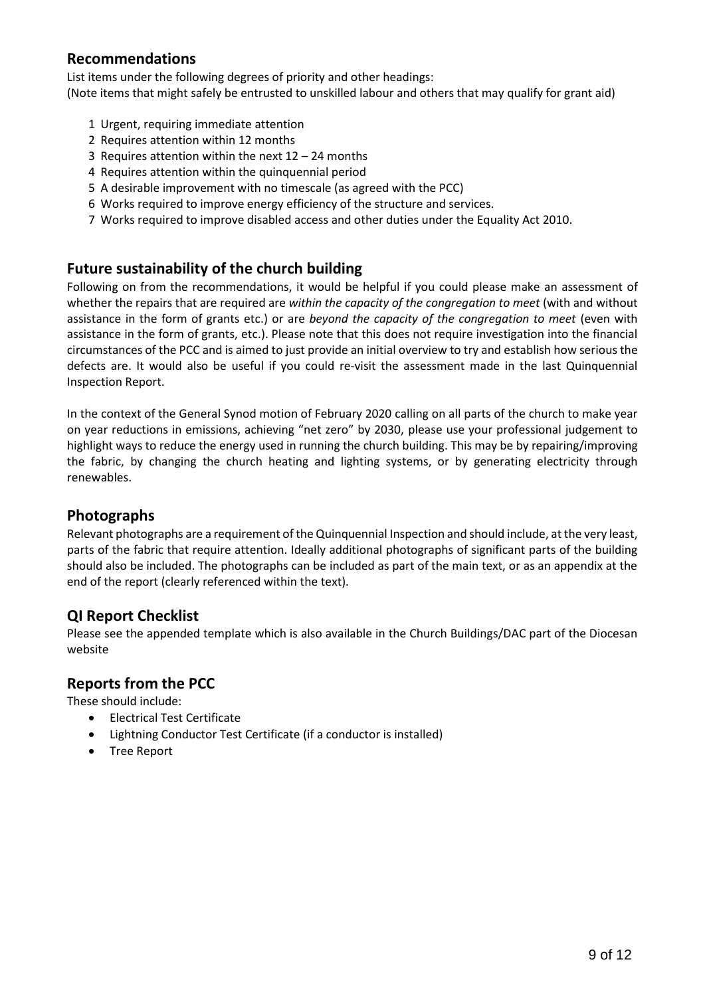## **Recommendations**

List items under the following degrees of priority and other headings: (Note items that might safely be entrusted to unskilled labour and others that may qualify for grant aid)

- 1 Urgent, requiring immediate attention
- 2 Requires attention within 12 months
- 3 Requires attention within the next 12 24 months
- 4 Requires attention within the quinquennial period
- 5 A desirable improvement with no timescale (as agreed with the PCC)
- 6 Works required to improve energy efficiency of the structure and services.
- 7 Works required to improve disabled access and other duties under the Equality Act 2010.

## **Future sustainability of the church building**

Following on from the recommendations, it would be helpful if you could please make an assessment of whether the repairs that are required are *within the capacity of the congregation to meet* (with and without assistance in the form of grants etc.) or are *beyond the capacity of the congregation to meet* (even with assistance in the form of grants, etc.). Please note that this does not require investigation into the financial circumstances of the PCC and is aimed to just provide an initial overview to try and establish how serious the defects are. It would also be useful if you could re-visit the assessment made in the last Quinquennial Inspection Report.

In the context of the General Synod motion of February 2020 calling on all parts of the church to make year on year reductions in emissions, achieving "net zero" by 2030, please use your professional judgement to highlight ways to reduce the energy used in running the church building. This may be by repairing/improving the fabric, by changing the church heating and lighting systems, or by generating electricity through renewables.

## **Photographs**

Relevant photographs are a requirement of the Quinquennial Inspection and should include, at the very least, parts of the fabric that require attention. Ideally additional photographs of significant parts of the building should also be included. The photographs can be included as part of the main text, or as an appendix at the end of the report (clearly referenced within the text).

## **QI Report Checklist**

Please see the appended template which is also available in the Church Buildings/DAC part of the Diocesan website

## **Reports from the PCC**

These should include:

- Electrical Test Certificate
- Lightning Conductor Test Certificate (if a conductor is installed)
- Tree Report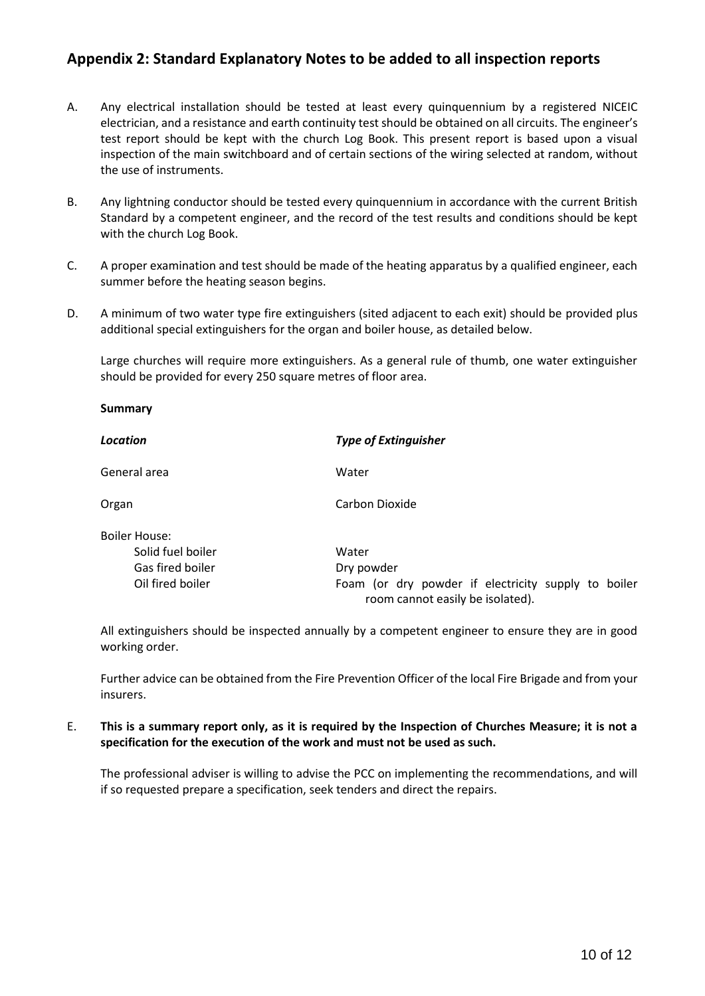# **Appendix 2: Standard Explanatory Notes to be added to all inspection reports**

- A. Any electrical installation should be tested at least every quinquennium by a registered NICEIC electrician, and a resistance and earth continuity test should be obtained on all circuits. The engineer's test report should be kept with the church Log Book. This present report is based upon a visual inspection of the main switchboard and of certain sections of the wiring selected at random, without the use of instruments.
- B. Any lightning conductor should be tested every quinquennium in accordance with the current British Standard by a competent engineer, and the record of the test results and conditions should be kept with the church Log Book.
- C. A proper examination and test should be made of the heating apparatus by a qualified engineer, each summer before the heating season begins.
- D. A minimum of two water type fire extinguishers (sited adjacent to each exit) should be provided plus additional special extinguishers for the organ and boiler house, as detailed below.

**Summary**

Large churches will require more extinguishers. As a general rule of thumb, one water extinguisher should be provided for every 250 square metres of floor area.

| <b>Location</b>      | <b>Type of Extinguisher</b>                                                             |  |  |  |  |
|----------------------|-----------------------------------------------------------------------------------------|--|--|--|--|
| General area         | Water                                                                                   |  |  |  |  |
| Organ                | Carbon Dioxide                                                                          |  |  |  |  |
| <b>Boiler House:</b> |                                                                                         |  |  |  |  |
| Solid fuel boiler    | Water                                                                                   |  |  |  |  |
| Gas fired boiler     | Dry powder                                                                              |  |  |  |  |
| Oil fired boiler     | Foam (or dry powder if electricity supply to boiler<br>room cannot easily be isolated). |  |  |  |  |

All extinguishers should be inspected annually by a competent engineer to ensure they are in good working order.

Further advice can be obtained from the Fire Prevention Officer of the local Fire Brigade and from your insurers.

### E. **This is a summary report only, as it is required by the Inspection of Churches Measure; it is not a specification for the execution of the work and must not be used as such.**

The professional adviser is willing to advise the PCC on implementing the recommendations, and will if so requested prepare a specification, seek tenders and direct the repairs.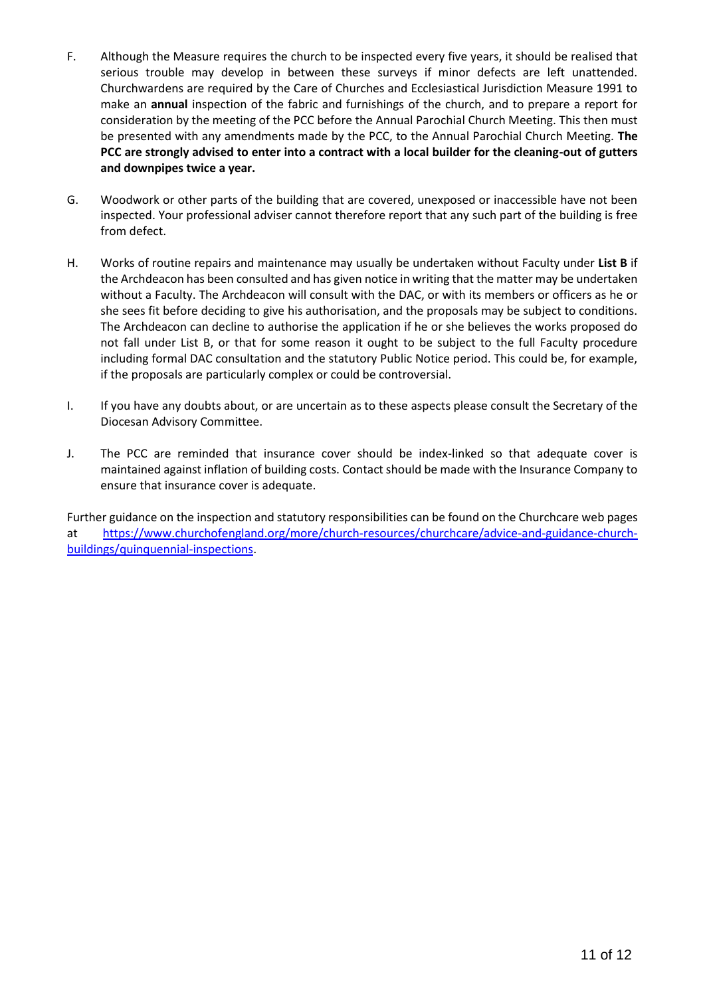- F. Although the Measure requires the church to be inspected every five years, it should be realised that serious trouble may develop in between these surveys if minor defects are left unattended. Churchwardens are required by the Care of Churches and Ecclesiastical Jurisdiction Measure 1991 to make an **annual** inspection of the fabric and furnishings of the church, and to prepare a report for consideration by the meeting of the PCC before the Annual Parochial Church Meeting. This then must be presented with any amendments made by the PCC, to the Annual Parochial Church Meeting. **The PCC are strongly advised to enter into a contract with a local builder for the cleaning-out of gutters and downpipes twice a year.**
- G. Woodwork or other parts of the building that are covered, unexposed or inaccessible have not been inspected. Your professional adviser cannot therefore report that any such part of the building is free from defect.
- H. Works of routine repairs and maintenance may usually be undertaken without Faculty under **List B** if the Archdeacon has been consulted and has given notice in writing that the matter may be undertaken without a Faculty. The Archdeacon will consult with the DAC, or with its members or officers as he or she sees fit before deciding to give his authorisation, and the proposals may be subject to conditions. The Archdeacon can decline to authorise the application if he or she believes the works proposed do not fall under List B, or that for some reason it ought to be subject to the full Faculty procedure including formal DAC consultation and the statutory Public Notice period. This could be, for example, if the proposals are particularly complex or could be controversial.
- I. If you have any doubts about, or are uncertain as to these aspects please consult the Secretary of the Diocesan Advisory Committee.
- J. The PCC are reminded that insurance cover should be index-linked so that adequate cover is maintained against inflation of building costs. Contact should be made with the Insurance Company to ensure that insurance cover is adequate.

Further guidance on the inspection and statutory responsibilities can be found on the Churchcare web pages at [https://www.churchofengland.org/more/church-resources/churchcare/advice-and-guidance-church](https://www.churchofengland.org/more/church-resources/churchcare/advice-and-guidance-church-buildings/quinquennial-inspections)[buildings/quinquennial-inspections.](https://www.churchofengland.org/more/church-resources/churchcare/advice-and-guidance-church-buildings/quinquennial-inspections)